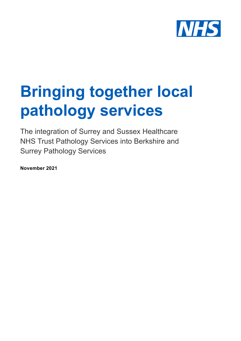

# **Bringing together local pathology services**

The integration of Surrey and Sussex Healthcare NHS Trust Pathology Services into Berkshire and Surrey Pathology Services

**November 2021**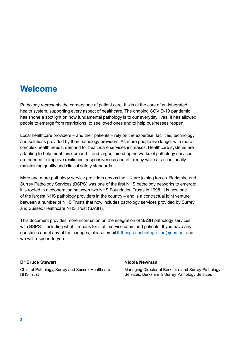### **Welcome**

Pathology represents the cornerstone of patient care. It sits at the core of an integrated health system, supporting every aspect of healthcare. The ongoing COVID-19 pandemic has shone a spotlight on how fundamental pathology is to our everyday lives. It has allowed people to emerge from restrictions, to see loved ones and to help businesses reopen.

Local healthcare providers – and their patients – rely on the expertise, facilities, technology and solutions provided by their pathology providers. As more people live longer with more complex health needs, demand for healthcare services increases. Healthcare systems are adapting to help meet this demand – and larger, joined-up networks of pathology services are needed to improve resilience, responsiveness and efficiency while also continually maintaining quality and clinical safety standards.

More and more pathology service providers across the UK are joining forces. Berkshire and Surrey Pathology Services (BSPS) was one of the first NHS pathology networks to emerge; it is rooted in a cooperation between two NHS Foundation Trusts in 1998. It is now one of the largest NHS pathology providers in the country – and is a contractual joint venture between a number of NHS Trusts that now includes pathology services provided by Surrey and Sussex Healthcare NHS Trust (SASH).

This document provides more information on the integration of SASH pathology services with BSPS – including what it means for staff, service users and patients. If you have any questions about any of the changes, please email [fhft.bsps-sashintegration@nhs.net](mailto:fhft.bsps-sashintegration%40nhs.net?subject=) and we will respond to you.

#### **Dr Bruce Stewart**

Chief of Pathology, Surrey and Sussex Healthcare NHS Trust

#### **Nicola Newman**

Managing Director of Berkshire and Surrey Pathology Services, Berkshire & Surrey Pathology Services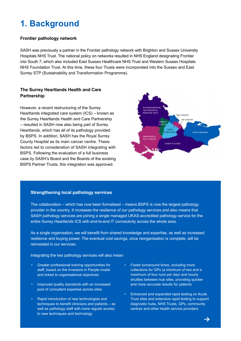### **1. Background**

#### **Frontier pathology network**

SASH was previously a partner in the Frontier pathology network with Brighton and Sussex University Hospitals NHS Trust. The national policy on networks resulted in NHS England designating Frontier into South 7, which also included East Sussex Healthcare NHS Trust and Western Sussex Hospitals NHS Foundation Trust. At this time, these four Trusts were incorporated into the Sussex and East Surrey STP (Sustainability and Transformation Programme).

#### **The Surrey Heartlands Health and Care Partnership**

However, a recent restructuring of the Surrey Heartlands integrated care system (ICS) – known as the Surrey Heartlands Health and Care Partnership – resulted in SASH now also being part of Surrey Heartlands, which has all of its pathology provided by BSPS. In addition, SASH has the Royal Surrey County Hospital as its main cancer centre. These factors led to consideration of SASH integrating with BSPS. Following the evaluation of a full business case by SASH's Board and the Boards of the existing BSPS Partner Trusts, this integration was approved.



#### **Strengthening local pathology services**

The collaboration – which has now been formalised – means BSPS is now the largest pathology provider in the country. It increases the resilience of our pathology services and also means that SASH pathology services are joining a single managed UKAS-accredited pathology service for the entire Surrey Heartlands ICS with end-to-end IT connectivity across the whole area.

As a single organisation, we will benefit from shared knowledge and expertise, as well as increased resilience and buying power. The eventual cost savings, once reorganisation is complete, will be reinvested in our services.

Integrating the two pathology services will also mean:

- Greater professional training opportunities for staff, based on the Investors in People model and linked to organisational objectives
- Improved quality standards with an increased pool of consultant expertise across sites
- Rapid introduction of new technologies and techniques to benefit clinicians and patients – as well as pathology staff with more regular access to new techniques and technology
- Faster turnaround times, including more collections for GPs (a minimum of two and a maximum of four runs per day) and hourly shuttles between hub sites, providing quicker and more accurate results for patients
- Enhanced and expanded rapid testing on Acute Trust sites and extensive rapid testing to support diagnostic hubs, NHS Trusts, GPs, community centres and other health service providers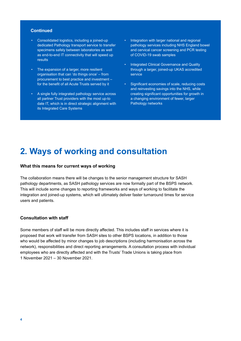#### **Continued**

- Consolidated logistics, including a joined-up dedicated Pathology transport service to transfer specimens safely between laboratories as well as end-to-end IT connectivity that will speed up results
- The expansion of a larger, more resilient organisation that can 'do things once' – from procurement to best practice and investment – for the benefit of all Acute Trusts served by it
- A single fully integrated pathology service across all partner Trust providers with the most up-to date IT, which is in direct strategic alignment with its Integrated Care Systems
- Integration with larger national and regional pathology services including NHS England bowel and cervical cancer screening and PCR testing of COVID-19 swab samples
- Integrated Clinical Governance and Quality through a larger, joined-up UKAS accredited service
- Significant economies of scale, reducing costs and reinvesting savings into the NHS, while creating significant opportunities for growth in a changing environment of fewer, larger Pathology networks

### **2. Ways of working and consultation**

#### **What this means for current ways of working**

The collaboration means there will be changes to the senior management structure for SASH pathology departments, as SASH pathology services are now formally part of the BSPS network. This will include some changes to reporting frameworks and ways of working to facilitate the integration and joined-up systems, which will ultimately deliver faster turnaround times for service users and patients.

#### **Consultation with staff**

Some members of staff will be more directly affected. This includes staff in services where it is proposed that work will transfer from SASH sites to other BSPS locations, in addition to those who would be affected by minor changes to job descriptions (including harmonisation across the network), responsibilities and direct reporting arrangements. A consultation process with individual employees who are directly affected and with the Trusts' Trade Unions is taking place from 1 November 2021 – 30 November 2021.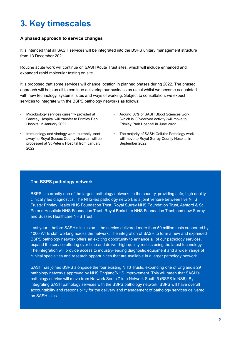### **3. Key timescales**

#### **A phased approach to service changes**

It is intended that all SASH services will be integrated into the BSPS unitary management structure from 13 December 2021.

Routine acute work will continue on SASH Acute Trust sites, which will include enhanced and expanded rapid molecular testing on site.

It is proposed that some services will change location in planned phases during 2022. The phased approach will help us all to continue delivering our business as usual whilst we become acquainted with new technology, systems, sites and ways of working. Subject to consultation, we expect services to integrate with the BSPS pathology networks as follows:

- Microbiology services currently provided at Crawley Hospital will transfer to Frimley Park Hospital in January 2022
- Around 50% of SASH Blood Sciences work (which is GP-derived activity) will move to Frimley Park Hospital in June 2022
- Immunology and virology work, currently 'sent away' to Royal Sussex County Hospital, will be processed at St Peter's Hospital from January 2022
- The majority of SASH Cellular Pathology work will move to Royal Surrey County Hospital in September 2022

#### **The BSPS pathology network**

BSPS is currently one of the largest pathology networks in the country, providing safe, high quality, clinically led diagnostics. The NHS-led pathology network is a joint venture between five NHS Trusts: Frimley Health NHS Foundation Trust, Royal Surrey NHS Foundation Trust, Ashford & St Peter's Hospitals NHS Foundation Trust, Royal Berkshire NHS Foundation Trust; and now Surrey and Sussex Healthcare NHS Trust.

Last year – before SASH's inclusion – the service delivered more than 50 million tests supported by 1000 WTE staff working across the network. The integration of SASH to form a new and expanded BSPS pathology network offers an exciting opportunity to enhance all of our pathology services, expand the service offering over time and deliver high-quality results using the latest technology. The integration will provide access to industry-leading diagnostic equipment and a wider range of clinical specialties and research opportunities that are available in a larger pathology network.

SASH has joined BSPS alongside the four existing NHS Trusts, expanding one of England's 29 pathology networks approved by NHS England/NHS Improvement. This will mean that SASH's pathology service will move from Network South 7 into Network South 5 (BSPS is NS5). By integrating SASH pathology services with the BSPS pathology network, BSPS will have overall accountability and responsibility for the delivery and management of pathology services delivered on SASH sites.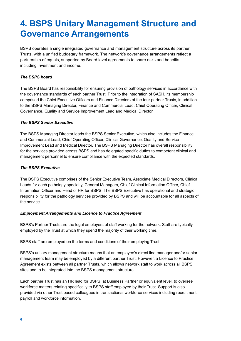### **4. BSPS Unitary Management Structure and Governance Arrangements**

BSPS operates a single integrated governance and management structure across its partner Trusts, with a unified budgetary framework. The network's governance arrangements reflect a partnership of equals, supported by Board level agreements to share risks and benefits, including investment and income.

#### *The BSPS board*

The BSPS Board has responsibility for ensuring provision of pathology services in accordance with the governance standards of each partner Trust. Prior to the integration of SASH, its membership comprised the Chief Executive Officers and Finance Directors of the four partner Trusts, in addition to the BSPS Managing Director, Finance and Commercial Lead, Chief Operating Officer, Clinical Governance, Quality and Service Improvement Lead and Medical Director.

#### *The BSPS Senior Executive*

The BSPS Managing Director leads the BSPS Senior Executive, which also includes the Finance and Commercial Lead, Chief Operating Officer, Clinical Governance, Quality and Service Improvement Lead and Medical Director. The BSPS Managing Director has overall responsibility for the services provided across BSPS and has delegated specific duties to competent clinical and management personnel to ensure compliance with the expected standards.

#### *The BSPS Executive*

The BSPS Executive comprises of the Senior Executive Team, Associate Medical Directors, Clinical Leads for each pathology specialty, General Managers, Chief Clinical Information Officer, Chief Information Officer and Head of HR for BSPS. The BSPS Executive has operational and strategic responsibility for the pathology services provided by BSPS and will be accountable for all aspects of the service.

#### *Employment Arrangements and Licence to Practice Agreement*

BSPS's Partner Trusts are the legal employers of staff working for the network. Staff are typically employed by the Trust at which they spend the majority of their working time.

BSPS staff are employed on the terms and conditions of their employing Trust.

BSPS's unitary management structure means that an employee's direct line manager and/or senior management team may be employed by a different partner Trust. However, a Licence to Practice Agreement exists between all partner Trusts, which allows network staff to work across all BSPS sites and to be integrated into the BSPS management structure.

Each partner Trust has an HR lead for BSPS, at Business Partner or equivalent level, to oversee workforce matters relating specifically to BSPS staff employed by their Trust. Support is also provided via other Trust based colleagues in transactional workforce services including recruitment, payroll and workforce information.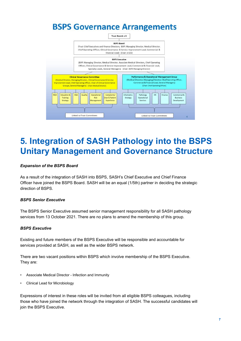### **BSPS Governance Arrangements**



## **5. Integration of SASH Pathology into the BSPS Unitary Management and Governance Structure**

#### *Expansion of the BSPS Board*

As a result of the integration of SASH into BSPS, SASH's Chief Executive and Chief Finance Officer have joined the BSPS Board. SASH will be an equal (1/5th) partner in deciding the strategic direction of BSPS.

#### *BSPS Senior Executive*

The BSPS Senior Executive assumed senior management responsibility for all SASH pathology services from 13 October 2021. There are no plans to amend the membership of this group.

#### *BSPS Executive*

Existing and future members of the BSPS Executive will be responsible and accountable for services provided at SASH, as well as the wider BSPS network.

There are two vacant positions within BSPS which involve membership of the BSPS Executive. They are:

- Associate Medical Director Infection and Immunity
- Clinical Lead for Microbiology

Expressions of interest in these roles will be invited from all eligible BSPS colleagues, including those who have joined the network through the integration of SASH. The successful candidates will join the BSPS Executive.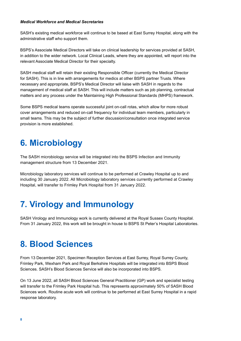#### *Medical Workforce and Medical Secretaries*

SASH's existing medical workforce will continue to be based at East Surrey Hospital, along with the administrative staff who support them.

BSPS's Associate Medical Directors will take on clinical leadership for services provided at SASH, in addition to the wider network. Local Clinical Leads, where they are appointed, will report into the relevant Associate Medical Director for their specialty.

SASH medical staff will retain their existing Responsible Officer (currently the Medical Director for SASH). This is in line with arrangements for medics at other BSPS partner Trusts. Where necessary and appropriate, BSPS's Medical Director will liaise with SASH in regards to the management of medical staff at SASH. This will include matters such as job planning, contractual matters and any process under the Maintaining High Professional Standards (MHPS) framework.

Some BSPS medical teams operate successful joint on-call rotas, which allow for more robust cover arrangements and reduced on-call frequency for individual team members, particularly in small teams. This may be the subject of further discussion/consultation once integrated service provision is more established.

### **6. Microbiology**

The SASH microbiology service will be integrated into the BSPS Infection and Immunity management structure from 13 December 2021.

Microbiology laboratory services will continue to be performed at Crawley Hospital up to and including 30 January 2022. All Microbiology laboratory services currently performed at Crawley Hospital, will transfer to Frimley Park Hospital from 31 January 2022.

### **7. Virology and Immunology**

SASH Virology and Immunology work is currently delivered at the Royal Sussex County Hospital. From 31 January 2022, this work will be brought in house to BSPS St Peter's Hospital Laboratories.

### **8. Blood Sciences**

From 13 December 2021, Specimen Reception Services at East Surrey, Royal Surrey County, Frimley Park, Wexham Park and Royal Berkshire Hospitals will be integrated into BSPS Blood Sciences. SASH's Blood Sciences Service will also be incorporated into BSPS.

On 13 June 2022, all SASH Blood Sciences General Practitioner (GP) work and specialist testing will transfer to the Frimley Park Hospital hub. This represents approximately 50% of SASH Blood Sciences work. Routine acute work will continue to be performed at East Surrey Hospital in a rapid response laboratory.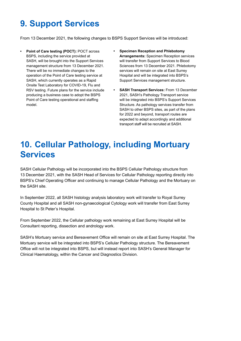# **9. Support Services**

From 13 December 2021, the following changes to BSPS Support Services will be introduced:

- **• Point of Care testing (POCT):** POCT across BSPS, including the service provided at SASH, will be brought into the Support Services management structure from 13 December 2021. There will be no immediate changes to the operation of the Point of Care testing service at SASH, which currently operates as a Rapid Onsite Test Laboratory for COVID-19, Flu and RSV testing. Future plans for the service include producing a business case to adopt the BSPS Point of Care testing operational and staffing model.
- **• Specimen Reception and Phlebotomy Arrangements:** Specimen Reception services will transfer from Support Services to Blood Sciences from 13 December 2021. Phlebotomy services will remain on site at East Surrey Hospital and will be integrated into BSPS's Support Services management structure.
- **• SASH Transport Services:** From 13 December 2021, SASH's Pathology Transport service will be integrated into BSPS's Support Services Structure. As pathology services transfer from SASH to other BSPS sites, as part of the plans for 2022 and beyond, transport routes are expected to adapt accordingly and additional transport staff will be recruited at SASH.

### **10. Cellular Pathology, including Mortuary Services**

SASH Cellular Pathology will be incorporated into the BSPS Cellular Pathology structure from 13 December 2021, with the SASH Head of Services for Cellular Pathology reporting directly into BSPS's Chief Operating Officer and continuing to manage Cellular Pathology and the Mortuary on the SASH site.

In September 2022, all SASH histology analysis laboratory work will transfer to Royal Surrey County Hospital and all SASH non-gynaecological Cytology work will transfer from East Surrey Hospital to St Peter's Hospital.

From September 2022, the Cellular pathology work remaining at East Surrey Hospital will be Consultant reporting, dissection and andrology work.

SASH's Mortuary service and Bereavement Office will remain on site at East Surrey Hospital. The Mortuary service will be integrated into BSPS's Cellular Pathology structure. The Bereavement Office will not be integrated into BSPS, but will instead report into SASH's General Manager for Clinical Haematology, within the Cancer and Diagnostics Division.